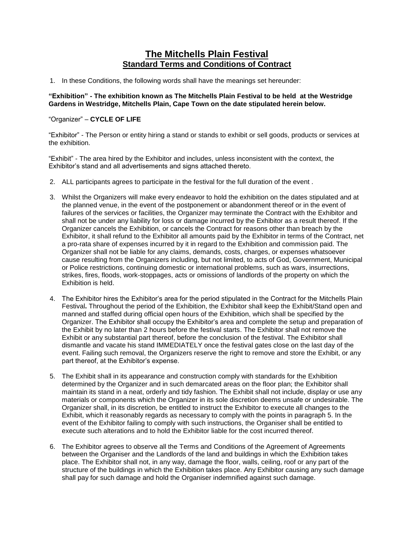# **The Mitchells Plain Festival Standard Terms and Conditions of Contract**

1. In these Conditions, the following words shall have the meanings set hereunder:

**"Exhibition" - The exhibition known as The Mitchells Plain Festival to be held at the Westridge Gardens in Westridge, Mitchells Plain, Cape Town on the date stipulated herein below.**

## "Organizer" – **CYCLE OF LIFE**

"Exhibitor" - The Person or entity hiring a stand or stands to exhibit or sell goods, products or services at the exhibition.

"Exhibit" - The area hired by the Exhibitor and includes, unless inconsistent with the context, the Exhibitor's stand and all advertisements and signs attached thereto.

- 2. ALL participants agrees to participate in the festival for the full duration of the event .
- 3. Whilst the Organizers will make every endeavor to hold the exhibition on the dates stipulated and at the planned venue, in the event of the postponement or abandonment thereof or in the event of failures of the services or facilities, the Organizer may terminate the Contract with the Exhibitor and shall not be under any liability for loss or damage incurred by the Exhibitor as a result thereof. If the Organizer cancels the Exhibition, or cancels the Contract for reasons other than breach by the Exhibitor, it shall refund to the Exhibitor all amounts paid by the Exhibitor in terms of the Contract, net a pro-rata share of expenses incurred by it in regard to the Exhibition and commission paid. The Organizer shall not be liable for any claims, demands, costs, charges, or expenses whatsoever cause resulting from the Organizers including, but not limited, to acts of God, Government, Municipal or Police restrictions, continuing domestic or international problems, such as wars, insurrections, strikes, fires, floods, work-stoppages, acts or omissions of landlords of the property on which the Exhibition is held.
- 4. The Exhibitor hires the Exhibitor's area for the period stipulated in the Contract for the Mitchells Plain Festival**.** Throughout the period of the Exhibition, the Exhibitor shall keep the Exhibit/Stand open and manned and staffed during official open hours of the Exhibition, which shall be specified by the Organizer. The Exhibitor shall occupy the Exhibitor's area and complete the setup and preparation of the Exhibit by no later than 2 hours before the festival starts. The Exhibitor shall not remove the Exhibit or any substantial part thereof, before the conclusion of the festival. The Exhibitor shall dismantle and vacate his stand IMMEDIATELY once the festival gates close on the last day of the event. Failing such removal, the Organizers reserve the right to remove and store the Exhibit, or any part thereof, at the Exhibitor's expense.
- 5. The Exhibit shall in its appearance and construction comply with standards for the Exhibition determined by the Organizer and in such demarcated areas on the floor plan; the Exhibitor shall maintain its stand in a neat, orderly and tidy fashion. The Exhibit shall not include, display or use any materials or components which the Organizer in its sole discretion deems unsafe or undesirable. The Organizer shall, in its discretion, be entitled to instruct the Exhibitor to execute all changes to the Exhibit, which it reasonably regards as necessary to comply with the points in paragraph 5. In the event of the Exhibitor failing to comply with such instructions, the Organiser shall be entitled to execute such alterations and to hold the Exhibitor liable for the cost incurred thereof.
- 6. The Exhibitor agrees to observe all the Terms and Conditions of the Agreement of Agreements between the Organiser and the Landlords of the land and buildings in which the Exhibition takes place. The Exhibitor shall not, in any way, damage the floor, walls, ceiling, roof or any part of the structure of the buildings in which the Exhibition takes place. Any Exhibitor causing any such damage shall pay for such damage and hold the Organiser indemnified against such damage.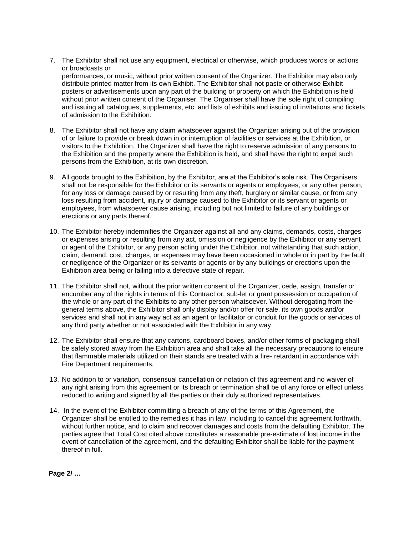- 7. The Exhibitor shall not use any equipment, electrical or otherwise, which produces words or actions or broadcasts or performances, or music, without prior written consent of the Organizer. The Exhibitor may also only distribute printed matter from its own Exhibit. The Exhibitor shall not paste or otherwise Exhibit posters or advertisements upon any part of the building or property on which the Exhibition is held without prior written consent of the Organiser. The Organiser shall have the sole right of compiling and issuing all catalogues, supplements, etc. and lists of exhibits and issuing of invitations and tickets of admission to the Exhibition.
- 8. The Exhibitor shall not have any claim whatsoever against the Organizer arising out of the provision of or failure to provide or break down in or interruption of facilities or services at the Exhibition, or visitors to the Exhibition. The Organizer shall have the right to reserve admission of any persons to the Exhibition and the property where the Exhibition is held, and shall have the right to expel such persons from the Exhibition, at its own discretion.
- 9. All goods brought to the Exhibition, by the Exhibitor, are at the Exhibitor's sole risk. The Organisers shall not be responsible for the Exhibitor or its servants or agents or employees, or any other person, for any loss or damage caused by or resulting from any theft, burglary or similar cause, or from any loss resulting from accident, injury or damage caused to the Exhibitor or its servant or agents or employees, from whatsoever cause arising, including but not limited to failure of any buildings or erections or any parts thereof.
- 10. The Exhibitor hereby indemnifies the Organizer against all and any claims, demands, costs, charges or expenses arising or resulting from any act, omission or negligence by the Exhibitor or any servant or agent of the Exhibitor, or any person acting under the Exhibitor, not withstanding that such action, claim, demand, cost, charges, or expenses may have been occasioned in whole or in part by the fault or negligence of the Organizer or its servants or agents or by any buildings or erections upon the Exhibition area being or falling into a defective state of repair.
- 11. The Exhibitor shall not, without the prior written consent of the Organizer, cede, assign, transfer or encumber any of the rights in terms of this Contract or, sub-let or grant possession or occupation of the whole or any part of the Exhibits to any other person whatsoever. Without derogating from the general terms above, the Exhibitor shall only display and/or offer for sale, its own goods and/or services and shall not in any way act as an agent or facilitator or conduit for the goods or services of any third party whether or not associated with the Exhibitor in any way.
- 12. The Exhibitor shall ensure that any cartons, cardboard boxes, and/or other forms of packaging shall be safely stored away from the Exhibition area and shall take all the necessary precautions to ensure that flammable materials utilized on their stands are treated with a fire- retardant in accordance with Fire Department requirements.
- 13. No addition to or variation, consensual cancellation or notation of this agreement and no waiver of any right arising from this agreement or its breach or termination shall be of any force or effect unless reduced to writing and signed by all the parties or their duly authorized representatives.
- 14. In the event of the Exhibitor committing a breach of any of the terms of this Agreement, the Organizer shall be entitled to the remedies it has in law, including to cancel this agreement forthwith, without further notice, and to claim and recover damages and costs from the defaulting Exhibitor. The parties agree that Total Cost cited above constitutes a reasonable pre-estimate of lost income in the event of cancellation of the agreement, and the defaulting Exhibitor shall be liable for the payment thereof in full.

**Page 2/ …**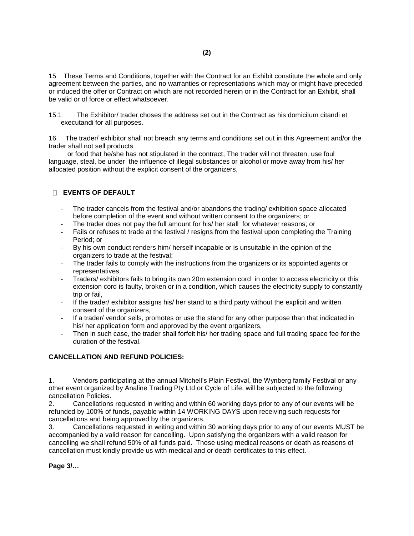15 These Terms and Conditions, together with the Contract for an Exhibit constitute the whole and only agreement between the parties, and no warranties or representations which may or might have preceded or induced the offer or Contract on which are not recorded herein or in the Contract for an Exhibit, shall be valid or of force or effect whatsoever.

15.1 The Exhibitor/ trader choses the address set out in the Contract as his domicilum citandi et executandi for all purposes.

16 The trader/ exhibitor shall not breach any terms and conditions set out in this Agreement and/or the trader shall not sell products

 or food that he/she has not stipulated in the contract, The trader will not threaten, use foul language, steal, be under the influence of illegal substances or alcohol or move away from his/ her allocated position without the explicit consent of the organizers,

#### **EVENTS OF DEFAULT**

- The trader cancels from the festival and/or abandons the trading/ exhibition space allocated before completion of the event and without written consent to the organizers; or
- The trader does not pay the full amount for his/ her stall for whatever reasons; or
- Fails or refuses to trade at the festival / resigns from the festival upon completing the Training Period; or
- By his own conduct renders him/ herself incapable or is unsuitable in the opinion of the organizers to trade at the festival;
- The trader fails to comply with the instructions from the organizers or its appointed agents or representatives,
- Traders/ exhibitors fails to bring its own 20m extension cord in order to access electricity or this extension cord is faulty, broken or in a condition, which causes the electricity supply to constantly trip or fail,
- If the trader/ exhibitor assigns his/ her stand to a third party without the explicit and written consent of the organizers,
- If a trader/ vendor sells, promotes or use the stand for any other purpose than that indicated in his/ her application form and approved by the event organizers,
- Then in such case, the trader shall forfeit his/ her trading space and full trading space fee for the duration of the festival.

### **CANCELLATION AND REFUND POLICIES:**

1. Vendors participating at the annual Mitchell's Plain Festival, the Wynberg family Festival or any other event organized by Analine Trading Pty Ltd or Cycle of Life, will be subjected to the following cancellation Policies.

2. Cancellations requested in writing and within 60 working days prior to any of our events will be refunded by 100% of funds, payable within 14 WORKING DAYS upon receiving such requests for cancellations and being approved by the organizers,

3. Cancellations requested in writing and within 30 working days prior to any of our events MUST be accompanied by a valid reason for cancelling. Upon satisfying the organizers with a valid reason for cancelling we shall refund 50% of all funds paid. Those using medical reasons or death as reasons of cancellation must kindly provide us with medical and or death certificates to this effect.

**Page 3/…**